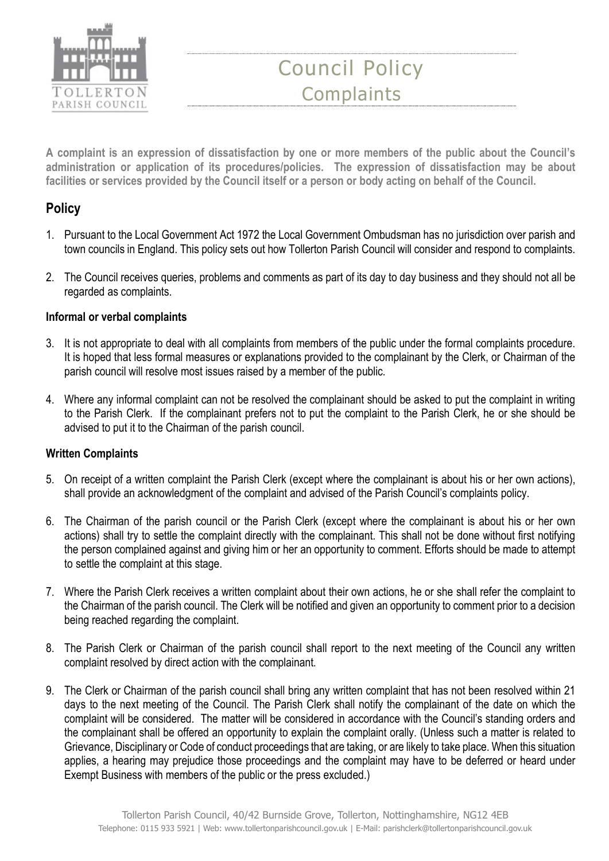

# Council Policy **Complaints**

A complaint is an expression of dissatisfaction by one or more members of the public about the Council's administration or application of its procedures/policies. The expression of dissatisfaction may be about facilities or services provided by the Council itself or a person or body acting on behalf of the Council.

## **Policy**

- 1. Pursuant to the Local Government Act 1972 the Local Government Ombudsman has no jurisdiction over parish and town councils in England. This policy sets out how Tollerton Parish Council will consider and respond to complaints.
- 2. The Council receives queries, problems and comments as part of its day to day business and they should not all be regarded as complaints.

### Informal or verbal complaints

- 3. It is not appropriate to deal with all complaints from members of the public under the formal complaints procedure. It is hoped that less formal measures or explanations provided to the complainant by the Clerk, or Chairman of the parish council will resolve most issues raised by a member of the public.
- 4. Where any informal complaint can not be resolved the complainant should be asked to put the complaint in writing to the Parish Clerk. If the complainant prefers not to put the complaint to the Parish Clerk, he or she should be advised to put it to the Chairman of the parish council.

### Written Complaints

- 5. On receipt of a written complaint the Parish Clerk (except where the complainant is about his or her own actions), shall provide an acknowledgment of the complaint and advised of the Parish Council's complaints policy.
- 6. The Chairman of the parish council or the Parish Clerk (except where the complainant is about his or her own actions) shall try to settle the complaint directly with the complainant. This shall not be done without first notifying the person complained against and giving him or her an opportunity to comment. Efforts should be made to attempt to settle the complaint at this stage.
- 7. Where the Parish Clerk receives a written complaint about their own actions, he or she shall refer the complaint to the Chairman of the parish council. The Clerk will be notified and given an opportunity to comment prior to a decision being reached regarding the complaint.
- 8. The Parish Clerk or Chairman of the parish council shall report to the next meeting of the Council any written complaint resolved by direct action with the complainant.
- 9. The Clerk or Chairman of the parish council shall bring any written complaint that has not been resolved within 21 days to the next meeting of the Council. The Parish Clerk shall notify the complainant of the date on which the complaint will be considered. The matter will be considered in accordance with the Council's standing orders and the complainant shall be offered an opportunity to explain the complaint orally. (Unless such a matter is related to Grievance, Disciplinary or Code of conduct proceedings that are taking, or are likely to take place. When this situation applies, a hearing may prejudice those proceedings and the complaint may have to be deferred or heard under Exempt Business with members of the public or the press excluded.)